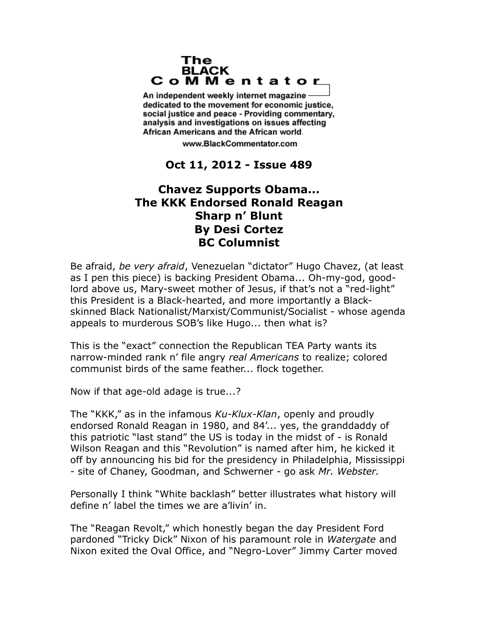## The **BLACK** CoMMentator

An independent weekly internet magazine dedicated to the movement for economic justice. social justice and peace - Providing commentary, analysis and investigations on issues affecting African Americans and the African world.

www.BlackCommentator.com

## **Oct 11, 2012 - Issue 489**

## **Chavez Supports Obama... The KKK Endorsed Ronald Reagan Sharp n' Blunt By Desi Cortez BC Columnist**

Be afraid, *be very afraid*, Venezuelan "dictator" Hugo Chavez, (at least as I pen this piece) is backing President Obama... Oh-my-god, goodlord above us, Mary-sweet mother of Jesus, if that's not a "red-light" this President is a Black-hearted, and more importantly a Blackskinned Black Nationalist/Marxist/Communist/Socialist - whose agenda appeals to murderous SOB's like Hugo... then what is?

This is the "exact" connection the Republican TEA Party wants its narrow-minded rank n' file angry *real Americans* to realize; colored communist birds of the same feather... flock together.

Now if that age-old adage is true...?

The "KKK," as in the infamous *Ku-Klux-Klan*, openly and proudly endorsed Ronald Reagan in 1980, and 84'... yes, the granddaddy of this patriotic "last stand" the US is today in the midst of - is Ronald Wilson Reagan and this "Revolution" is named after him, he kicked it off by announcing his bid for the presidency in Philadelphia, Mississippi - site of Chaney, Goodman, and Schwerner - go ask *Mr. Webster.*

Personally I think "White backlash" better illustrates what history will define n' label the times we are a'livin' in.

The "Reagan Revolt," which honestly began the day President Ford pardoned "Tricky Dick" Nixon of his paramount role in *Watergate* and Nixon exited the Oval Office, and "Negro-Lover" Jimmy Carter moved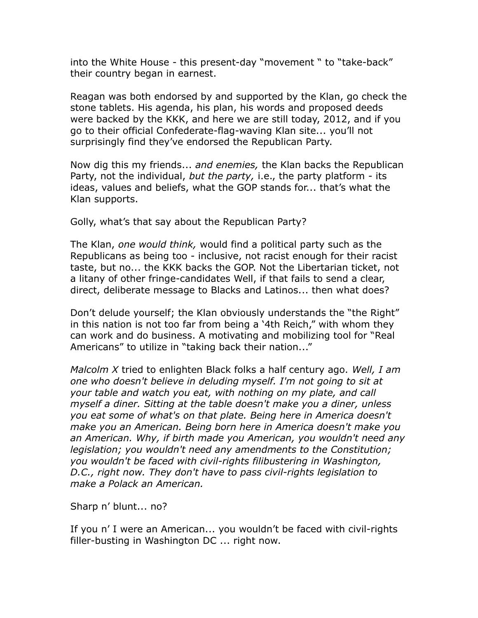into the White House - this present-day "movement " to "take-back" their country began in earnest.

Reagan was both endorsed by and supported by the Klan, go check the stone tablets. His agenda, his plan, his words and proposed deeds were backed by the KKK, and here we are still today, 2012, and if you go to their official Confederate-flag-waving Klan site... you'll not surprisingly find they've endorsed the Republican Party.

Now dig this my friends... *and enemies,* the Klan backs the Republican Party, not the individual, *but the party,* i.e., the party platform - its ideas, values and beliefs, what the GOP stands for... that's what the Klan supports.

Golly, what's that say about the Republican Party?

The Klan, *one would think,* would find a political party such as the Republicans as being too - inclusive, not racist enough for their racist taste, but no... the KKK backs the GOP. Not the Libertarian ticket, not a litany of other fringe-candidates Well, if that fails to send a clear, direct, deliberate message to Blacks and Latinos... then what does?

Don't delude yourself; the Klan obviously understands the "the Right" in this nation is not too far from being a '4th Reich," with whom they can work and do business. A motivating and mobilizing tool for "Real Americans" to utilize in "taking back their nation..."

*Malcolm X* tried to enlighten Black folks a half century ago. *Well, I am one who doesn't believe in deluding myself. I'm not going to sit at your table and watch you eat, with nothing on my plate, and call myself a diner. Sitting at the table doesn't make you a diner, unless you eat some of what's on that plate. Being here in America doesn't make you an American. Being born here in America doesn't make you an American. Why, if birth made you American, you wouldn't need any legislation; you wouldn't need any amendments to the Constitution; you wouldn't be faced with civil-rights filibustering in Washington, D.C., right now. They don't have to pass civil-rights legislation to make a Polack an American.*

Sharp n' blunt... no?

If you n' I were an American... you wouldn't be faced with civil-rights filler-busting in Washington DC ... right now.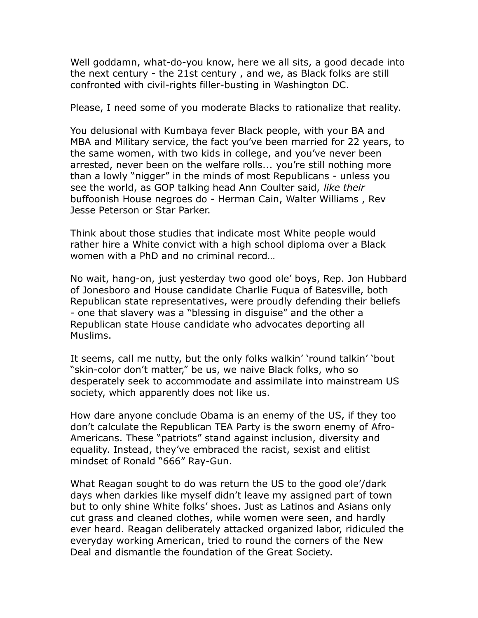Well goddamn, what-do-you know, here we all sits, a good decade into the next century - the 21st century , and we, as Black folks are still confronted with civil-rights filler-busting in Washington DC.

Please, I need some of you moderate Blacks to rationalize that reality.

You delusional with Kumbaya fever Black people, with your BA and MBA and Military service, the fact you've been married for 22 years, to the same women, with two kids in college, and you've never been arrested, never been on the welfare rolls... you're still nothing more than a lowly "nigger" in the minds of most Republicans - unless you see the world, as GOP talking head Ann Coulter said, *like their*  buffoonish House negroes do - Herman Cain, Walter Williams , Rev Jesse Peterson or Star Parker.

Think about those studies that indicate most White people would rather hire a White convict with a high school diploma over a Black women with a PhD and no criminal record…

No wait, hang-on, just yesterday two good ole' boys, Rep. Jon Hubbard of Jonesboro and House candidate Charlie Fuqua of Batesville, both Republican state representatives, were proudly defending their beliefs - one that slavery was a "blessing in disguise" and the other a Republican state House candidate who advocates deporting all Muslims.

It seems, call me nutty, but the only folks walkin' 'round talkin' 'bout "skin-color don't matter," be us, we naive Black folks, who so desperately seek to accommodate and assimilate into mainstream US society, which apparently does not like us.

How dare anyone conclude Obama is an enemy of the US, if they too don't calculate the Republican TEA Party is the sworn enemy of Afro-Americans. These "patriots" stand against inclusion, diversity and equality. Instead, they've embraced the racist, sexist and elitist mindset of Ronald "666" Ray-Gun.

What Reagan sought to do was return the US to the good ole'/dark days when darkies like myself didn't leave my assigned part of town but to only shine White folks' shoes. Just as Latinos and Asians only cut grass and cleaned clothes, while women were seen, and hardly ever heard. Reagan deliberately attacked organized labor, ridiculed the everyday working American, tried to round the corners of the New Deal and dismantle the foundation of the Great Society.